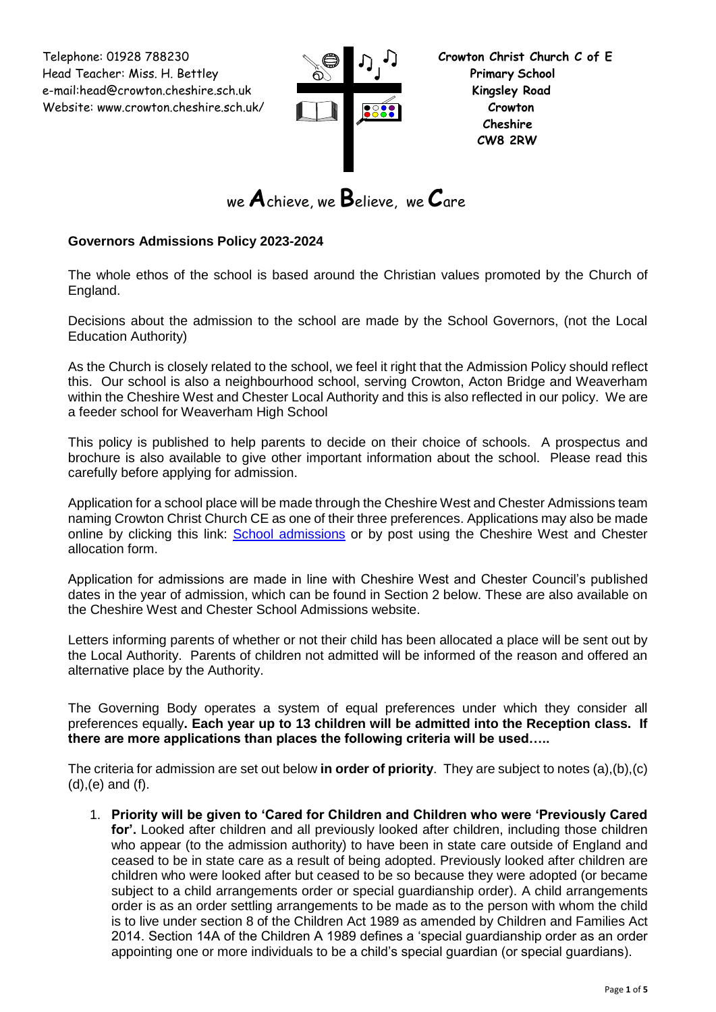Telephone: 01928 788230 **Crowton Christ Church C of E** Head Teacher: Miss. H. Bettley **Primary School**  e-mail:head@crowton.cheshire.sch.uk **Kingsley Road** Website: www.crowton.cheshire.sch.uk/ **Crowton**



we **A**chieve, we **B**elieve, we **C**are

# **Governors Admissions Policy 2023-2024**

The whole ethos of the school is based around the Christian values promoted by the Church of England.

Decisions about the admission to the school are made by the School Governors, (not the Local Education Authority)

As the Church is closely related to the school, we feel it right that the Admission Policy should reflect this. Our school is also a neighbourhood school, serving Crowton, Acton Bridge and Weaverham within the Cheshire West and Chester Local Authority and this is also reflected in our policy. We are a feeder school for Weaverham High School

This policy is published to help parents to decide on their choice of schools. A prospectus and brochure is also available to give other important information about the school. Please read this carefully before applying for admission.

Application for a school place will be made through the Cheshire West and Chester Admissions team naming Crowton Christ Church CE as one of their three preferences. Applications may also be made online by clicking this link: [School admissions](http://www.cheshirewestandchester.gov.uk/residents/education_and_learning/school_admissions.aspx) or by post using the Cheshire West and Chester allocation form.

Application for admissions are made in line with Cheshire West and Chester Council's published dates in the year of admission, which can be found in Section 2 below. These are also available on the Cheshire West and Chester School Admissions website.

Letters informing parents of whether or not their child has been allocated a place will be sent out by the Local Authority. Parents of children not admitted will be informed of the reason and offered an alternative place by the Authority.

The Governing Body operates a system of equal preferences under which they consider all preferences equally**. Each year up to 13 children will be admitted into the Reception class. If there are more applications than places the following criteria will be used…..**

The criteria for admission are set out below **in order of priority**. They are subject to notes (a),(b),(c) (d),(e) and (f).

1. **Priority will be given to 'Cared for Children and Children who were 'Previously Cared for'.** Looked after children and all previously looked after children, including those children who appear (to the admission authority) to have been in state care outside of England and ceased to be in state care as a result of being adopted. Previously looked after children are children who were looked after but ceased to be so because they were adopted (or became subject to a child arrangements order or special guardianship order). A child arrangements order is as an order settling arrangements to be made as to the person with whom the child is to live under section 8 of the Children Act 1989 as amended by Children and Families Act 2014. Section 14A of the Children A 1989 defines a 'special guardianship order as an order appointing one or more individuals to be a child's special guardian (or special guardians).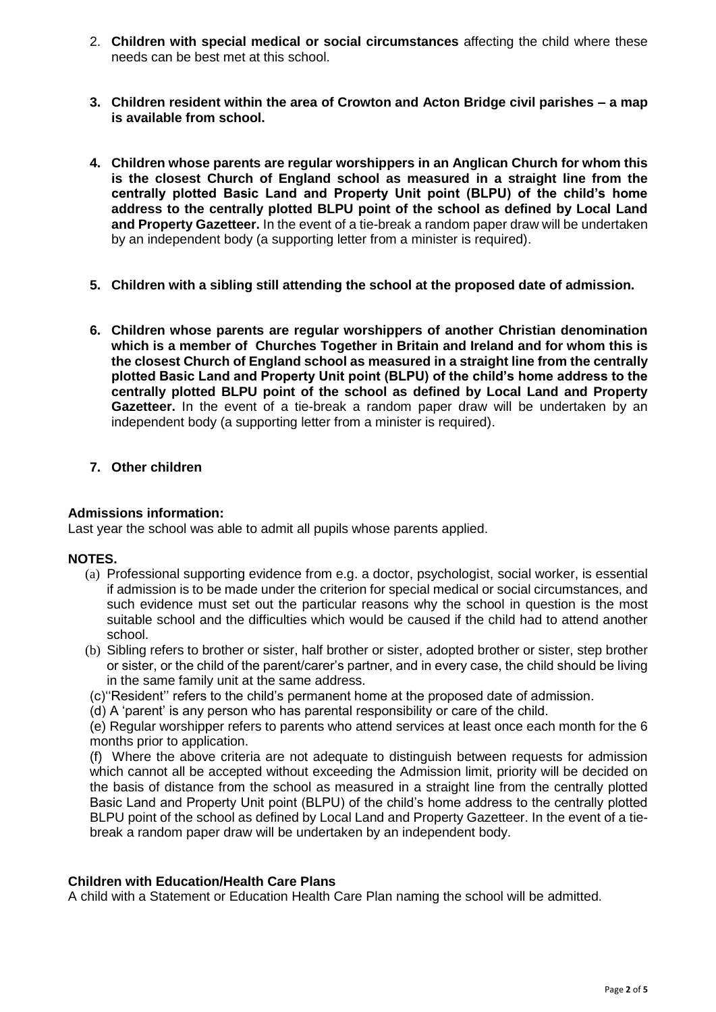- 2. **Children with special medical or social circumstances** affecting the child where these needs can be best met at this school.
- **3. Children resident within the area of Crowton and Acton Bridge civil parishes – a map is available from school.**
- **4. Children whose parents are regular worshippers in an Anglican Church for whom this is the closest Church of England school as measured in a straight line from the centrally plotted Basic Land and Property Unit point (BLPU) of the child's home address to the centrally plotted BLPU point of the school as defined by Local Land and Property Gazetteer.** In the event of a tie-break a random paper draw will be undertaken by an independent body (a supporting letter from a minister is required).
- **5. Children with a sibling still attending the school at the proposed date of admission.**
- **6. Children whose parents are regular worshippers of another Christian denomination which is a member of Churches Together in Britain and Ireland and for whom this is the closest Church of England school as measured in a straight line from the centrally plotted Basic Land and Property Unit point (BLPU) of the child's home address to the centrally plotted BLPU point of the school as defined by Local Land and Property Gazetteer.** In the event of a tie-break a random paper draw will be undertaken by an independent body (a supporting letter from a minister is required).
- **7. Other children**

#### **Admissions information:**

Last year the school was able to admit all pupils whose parents applied.

#### **NOTES.**

- (a) Professional supporting evidence from e.g. a doctor, psychologist, social worker, is essential if admission is to be made under the criterion for special medical or social circumstances, and such evidence must set out the particular reasons why the school in question is the most suitable school and the difficulties which would be caused if the child had to attend another school.
- (b) Sibling refers to brother or sister, half brother or sister, adopted brother or sister, step brother or sister, or the child of the parent/carer's partner, and in every case, the child should be living in the same family unit at the same address.
- (c)''Resident'' refers to the child's permanent home at the proposed date of admission.
- (d) A 'parent' is any person who has parental responsibility or care of the child.

(e) Regular worshipper refers to parents who attend services at least once each month for the 6 months prior to application.

(f) Where the above criteria are not adequate to distinguish between requests for admission which cannot all be accepted without exceeding the Admission limit, priority will be decided on the basis of distance from the school as measured in a straight line from the centrally plotted Basic Land and Property Unit point (BLPU) of the child's home address to the centrally plotted BLPU point of the school as defined by Local Land and Property Gazetteer. In the event of a tiebreak a random paper draw will be undertaken by an independent body.

#### **Children with Education/Health Care Plans**

A child with a Statement or Education Health Care Plan naming the school will be admitted.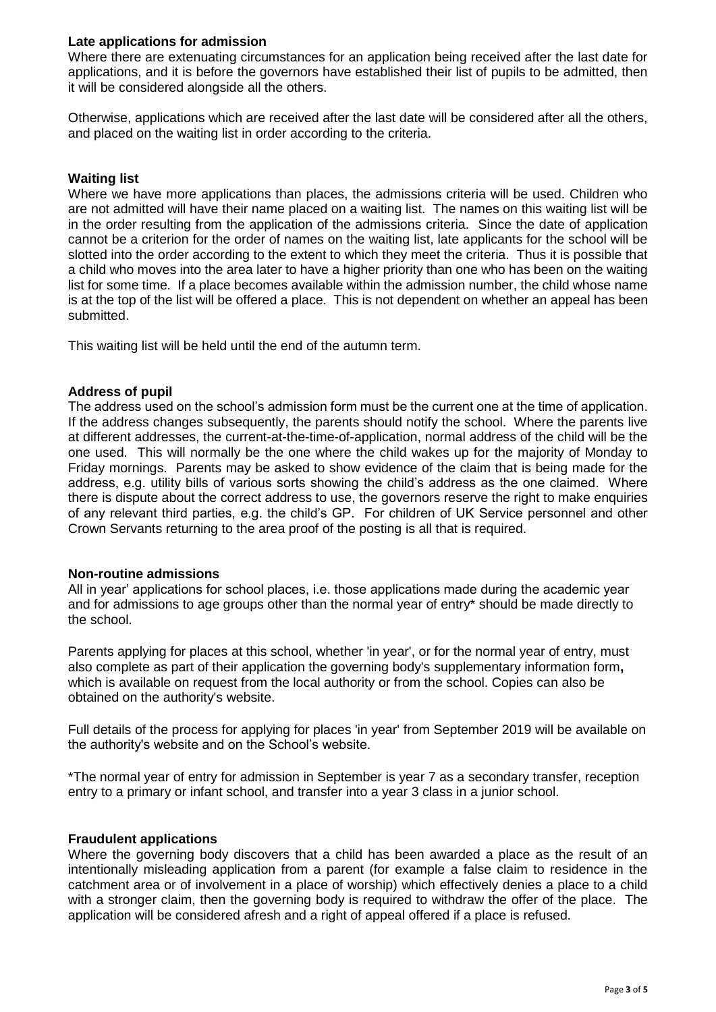## **Late applications for admission**

Where there are extenuating circumstances for an application being received after the last date for applications, and it is before the governors have established their list of pupils to be admitted, then it will be considered alongside all the others.

Otherwise, applications which are received after the last date will be considered after all the others, and placed on the waiting list in order according to the criteria.

## **Waiting list**

Where we have more applications than places, the admissions criteria will be used. Children who are not admitted will have their name placed on a waiting list. The names on this waiting list will be in the order resulting from the application of the admissions criteria. Since the date of application cannot be a criterion for the order of names on the waiting list, late applicants for the school will be slotted into the order according to the extent to which they meet the criteria. Thus it is possible that a child who moves into the area later to have a higher priority than one who has been on the waiting list for some time. If a place becomes available within the admission number, the child whose name is at the top of the list will be offered a place. This is not dependent on whether an appeal has been submitted.

This waiting list will be held until the end of the autumn term.

### **Address of pupil**

The address used on the school's admission form must be the current one at the time of application. If the address changes subsequently, the parents should notify the school. Where the parents live at different addresses, the current-at-the-time-of-application, normal address of the child will be the one used. This will normally be the one where the child wakes up for the majority of Monday to Friday mornings. Parents may be asked to show evidence of the claim that is being made for the address, e.g. utility bills of various sorts showing the child's address as the one claimed. Where there is dispute about the correct address to use, the governors reserve the right to make enquiries of any relevant third parties, e.g. the child's GP. For children of UK Service personnel and other Crown Servants returning to the area proof of the posting is all that is required.

#### **Non-routine admissions**

All in year' applications for school places, i.e. those applications made during the academic year and for admissions to age groups other than the normal year of entry\* should be made directly to the school.

Parents applying for places at this school, whether 'in year', or for the normal year of entry, must also complete as part of their application the governing body's supplementary information form**,** which is available on request from the local authority or from the school. Copies can also be obtained on the authority's website.

Full details of the process for applying for places 'in year' from September 2019 will be available on the authority's website and on the School's website.

\*The normal year of entry for admission in September is year 7 as a secondary transfer, reception entry to a primary or infant school, and transfer into a year 3 class in a junior school.

#### **Fraudulent applications**

Where the governing body discovers that a child has been awarded a place as the result of an intentionally misleading application from a parent (for example a false claim to residence in the catchment area or of involvement in a place of worship) which effectively denies a place to a child with a stronger claim, then the governing body is required to withdraw the offer of the place. The application will be considered afresh and a right of appeal offered if a place is refused.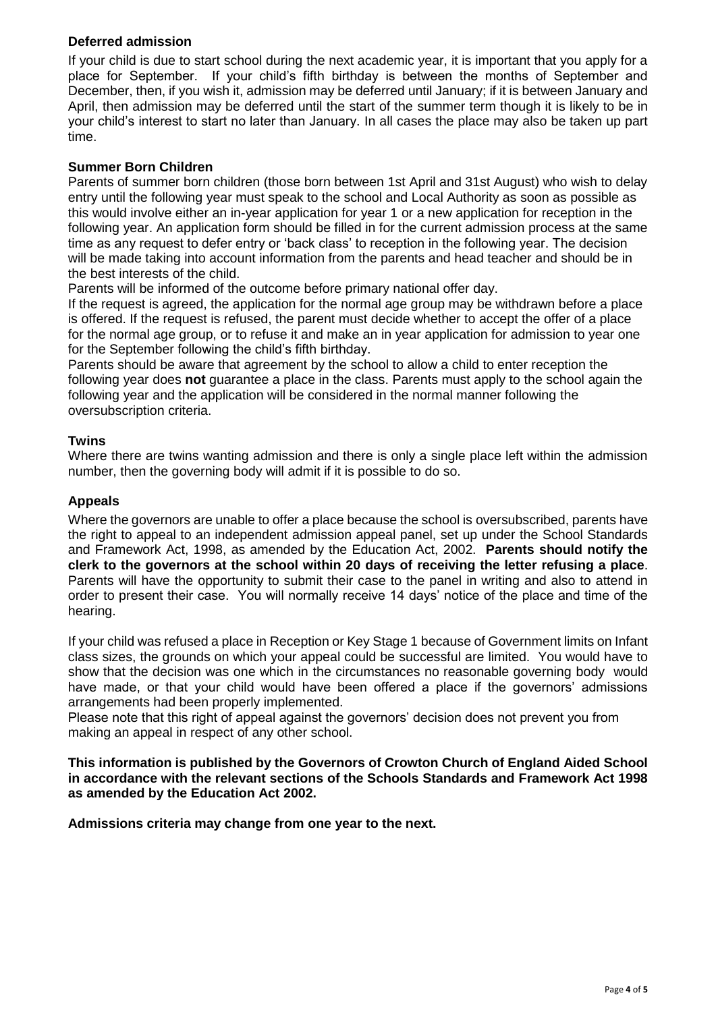## **Deferred admission**

If your child is due to start school during the next academic year, it is important that you apply for a place for September. If your child's fifth birthday is between the months of September and December, then, if you wish it, admission may be deferred until January; if it is between January and April, then admission may be deferred until the start of the summer term though it is likely to be in your child's interest to start no later than January. In all cases the place may also be taken up part time.

## **Summer Born Children**

Parents of summer born children (those born between 1st April and 31st August) who wish to delay entry until the following year must speak to the school and Local Authority as soon as possible as this would involve either an in-year application for year 1 or a new application for reception in the following year. An application form should be filled in for the current admission process at the same time as any request to defer entry or 'back class' to reception in the following year. The decision will be made taking into account information from the parents and head teacher and should be in the best interests of the child.

Parents will be informed of the outcome before primary national offer day.

If the request is agreed, the application for the normal age group may be withdrawn before a place is offered. If the request is refused, the parent must decide whether to accept the offer of a place for the normal age group, or to refuse it and make an in year application for admission to year one for the September following the child's fifth birthday.

Parents should be aware that agreement by the school to allow a child to enter reception the following year does **not** guarantee a place in the class. Parents must apply to the school again the following year and the application will be considered in the normal manner following the oversubscription criteria.

### **Twins**

Where there are twins wanting admission and there is only a single place left within the admission number, then the governing body will admit if it is possible to do so.

## **Appeals**

Where the governors are unable to offer a place because the school is oversubscribed, parents have the right to appeal to an independent admission appeal panel, set up under the School Standards and Framework Act, 1998, as amended by the Education Act, 2002. **Parents should notify the clerk to the governors at the school within 20 days of receiving the letter refusing a place**. Parents will have the opportunity to submit their case to the panel in writing and also to attend in order to present their case. You will normally receive 14 days' notice of the place and time of the hearing.

If your child was refused a place in Reception or Key Stage 1 because of Government limits on Infant class sizes, the grounds on which your appeal could be successful are limited. You would have to show that the decision was one which in the circumstances no reasonable governing body would have made, or that your child would have been offered a place if the governors' admissions arrangements had been properly implemented.

Please note that this right of appeal against the governors' decision does not prevent you from making an appeal in respect of any other school.

**This information is published by the Governors of Crowton Church of England Aided School in accordance with the relevant sections of the Schools Standards and Framework Act 1998 as amended by the Education Act 2002.**

**Admissions criteria may change from one year to the next.**